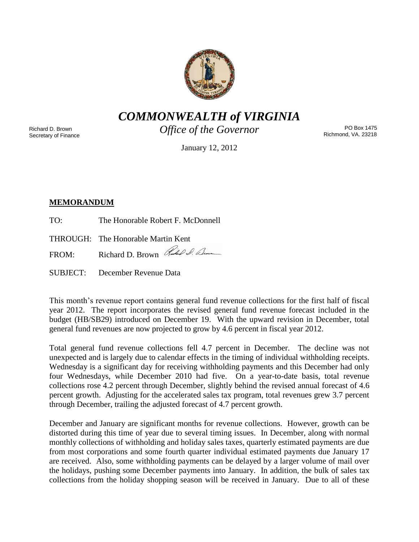

*COMMONWEALTH of VIRGINIA*

Richard D. Brown Secretary of Finance *Office of the Governor*

PO Box 1475 Richmond, VA. 23218

January 12, 2012

# **MEMORANDUM**

TO: The Honorable Robert F. McDonnell

THROUGH: The Honorable Martin Kent

FROM: Richard D. Brown Rules & Clum

SUBJECT: December Revenue Data

This month's revenue report contains general fund revenue collections for the first half of fiscal year 2012. The report incorporates the revised general fund revenue forecast included in the budget (HB/SB29) introduced on December 19. With the upward revision in December, total general fund revenues are now projected to grow by 4.6 percent in fiscal year 2012.

Total general fund revenue collections fell 4.7 percent in December. The decline was not unexpected and is largely due to calendar effects in the timing of individual withholding receipts. Wednesday is a significant day for receiving withholding payments and this December had only four Wednesdays, while December 2010 had five. On a year-to-date basis, total revenue collections rose 4.2 percent through December, slightly behind the revised annual forecast of 4.6 percent growth. Adjusting for the accelerated sales tax program, total revenues grew 3.7 percent through December, trailing the adjusted forecast of 4.7 percent growth.

December and January are significant months for revenue collections. However, growth can be distorted during this time of year due to several timing issues. In December, along with normal monthly collections of withholding and holiday sales taxes, quarterly estimated payments are due from most corporations and some fourth quarter individual estimated payments due January 17 are received. Also, some withholding payments can be delayed by a larger volume of mail over the holidays, pushing some December payments into January. In addition, the bulk of sales tax collections from the holiday shopping season will be received in January. Due to all of these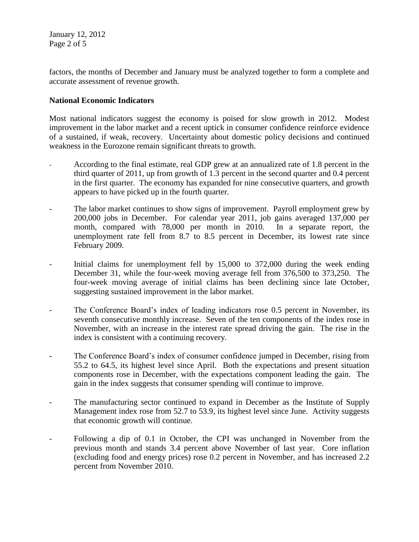January 12, 2012 Page 2 of 5

factors, the months of December and January must be analyzed together to form a complete and accurate assessment of revenue growth.

### **National Economic Indicators**

Most national indicators suggest the economy is poised for slow growth in 2012. Modest improvement in the labor market and a recent uptick in consumer confidence reinforce evidence of a sustained, if weak, recovery. Uncertainty about domestic policy decisions and continued weakness in the Eurozone remain significant threats to growth.

- According to the final estimate, real GDP grew at an annualized rate of 1.8 percent in the third quarter of 2011, up from growth of 1.3 percent in the second quarter and 0.4 percent in the first quarter. The economy has expanded for nine consecutive quarters, and growth appears to have picked up in the fourth quarter.
- The labor market continues to show signs of improvement. Payroll employment grew by 200,000 jobs in December. For calendar year 2011, job gains averaged 137,000 per month, compared with 78,000 per month in 2010. In a separate report, the unemployment rate fell from 8.7 to 8.5 percent in December, its lowest rate since February 2009.
- Initial claims for unemployment fell by 15,000 to 372,000 during the week ending December 31, while the four-week moving average fell from 376,500 to 373,250. The four-week moving average of initial claims has been declining since late October, suggesting sustained improvement in the labor market.
- The Conference Board's index of leading indicators rose 0.5 percent in November, its seventh consecutive monthly increase. Seven of the ten components of the index rose in November, with an increase in the interest rate spread driving the gain. The rise in the index is consistent with a continuing recovery.
- The Conference Board's index of consumer confidence jumped in December, rising from 55.2 to 64.5, its highest level since April. Both the expectations and present situation components rose in December, with the expectations component leading the gain. The gain in the index suggests that consumer spending will continue to improve.
- The manufacturing sector continued to expand in December as the Institute of Supply Management index rose from 52.7 to 53.9, its highest level since June. Activity suggests that economic growth will continue.
- Following a dip of 0.1 in October, the CPI was unchanged in November from the previous month and stands 3.4 percent above November of last year. Core inflation (excluding food and energy prices) rose 0.2 percent in November, and has increased 2.2 percent from November 2010.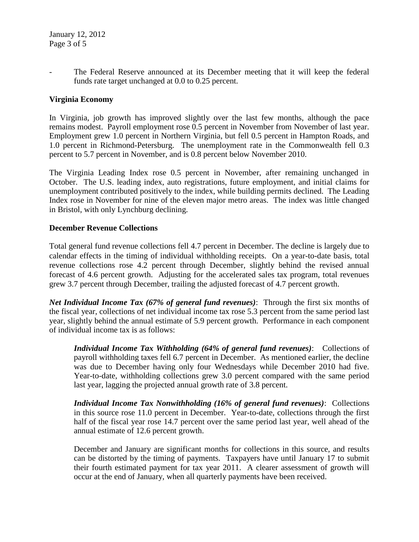The Federal Reserve announced at its December meeting that it will keep the federal funds rate target unchanged at 0.0 to 0.25 percent.

## **Virginia Economy**

In Virginia, job growth has improved slightly over the last few months, although the pace remains modest. Payroll employment rose 0.5 percent in November from November of last year. Employment grew 1.0 percent in Northern Virginia, but fell 0.5 percent in Hampton Roads, and 1.0 percent in Richmond-Petersburg. The unemployment rate in the Commonwealth fell 0.3 percent to 5.7 percent in November, and is 0.8 percent below November 2010.

The Virginia Leading Index rose 0.5 percent in November, after remaining unchanged in October. The U.S. leading index, auto registrations, future employment, and initial claims for unemployment contributed positively to the index, while building permits declined. The Leading Index rose in November for nine of the eleven major metro areas. The index was little changed in Bristol, with only Lynchburg declining.

#### **December Revenue Collections**

Total general fund revenue collections fell 4.7 percent in December. The decline is largely due to calendar effects in the timing of individual withholding receipts. On a year-to-date basis, total revenue collections rose 4.2 percent through December, slightly behind the revised annual forecast of 4.6 percent growth. Adjusting for the accelerated sales tax program, total revenues grew 3.7 percent through December, trailing the adjusted forecast of 4.7 percent growth.

*Net Individual Income Tax (67% of general fund revenues)*: Through the first six months of the fiscal year, collections of net individual income tax rose 5.3 percent from the same period last year, slightly behind the annual estimate of 5.9 percent growth. Performance in each component of individual income tax is as follows:

*Individual Income Tax Withholding (64% of general fund revenues)*: Collections of payroll withholding taxes fell 6.7 percent in December. As mentioned earlier, the decline was due to December having only four Wednesdays while December 2010 had five. Year-to-date, withholding collections grew 3.0 percent compared with the same period last year, lagging the projected annual growth rate of 3.8 percent.

*Individual Income Tax Nonwithholding (16% of general fund revenues)*: Collections in this source rose 11.0 percent in December. Year-to-date, collections through the first half of the fiscal year rose 14.7 percent over the same period last year, well ahead of the annual estimate of 12.6 percent growth.

December and January are significant months for collections in this source, and results can be distorted by the timing of payments. Taxpayers have until January 17 to submit their fourth estimated payment for tax year 2011. A clearer assessment of growth will occur at the end of January, when all quarterly payments have been received.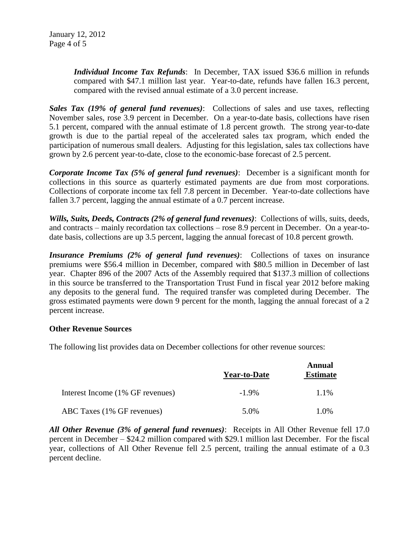*Individual Income Tax Refunds*: In December, TAX issued \$36.6 million in refunds compared with \$47.1 million last year. Year-to-date, refunds have fallen 16.3 percent, compared with the revised annual estimate of a 3.0 percent increase.

*Sales Tax (19% of general fund revenues)*: Collections of sales and use taxes, reflecting November sales, rose 3.9 percent in December. On a year-to-date basis, collections have risen 5.1 percent, compared with the annual estimate of 1.8 percent growth. The strong year-to-date growth is due to the partial repeal of the accelerated sales tax program, which ended the participation of numerous small dealers. Adjusting for this legislation, sales tax collections have grown by 2.6 percent year-to-date, close to the economic-base forecast of 2.5 percent.

*Corporate Income Tax (5% of general fund revenues)*: December is a significant month for collections in this source as quarterly estimated payments are due from most corporations. Collections of corporate income tax fell 7.8 percent in December. Year-to-date collections have fallen 3.7 percent, lagging the annual estimate of a 0.7 percent increase.

*Wills, Suits, Deeds, Contracts (2% of general fund revenues)*: Collections of wills, suits, deeds, and contracts – mainly recordation tax collections – rose 8.9 percent in December. On a year-todate basis, collections are up 3.5 percent, lagging the annual forecast of 10.8 percent growth.

*Insurance Premiums (2% of general fund revenues)*: Collections of taxes on insurance premiums were \$56.4 million in December, compared with \$80.5 million in December of last year. Chapter 896 of the 2007 Acts of the Assembly required that \$137.3 million of collections in this source be transferred to the Transportation Trust Fund in fiscal year 2012 before making any deposits to the general fund. The required transfer was completed during December. The gross estimated payments were down 9 percent for the month, lagging the annual forecast of a 2 percent increase.

#### **Other Revenue Sources**

The following list provides data on December collections for other revenue sources:

|                                  | <b>Year-to-Date</b> | <b>Annual</b><br><b>Estimate</b> |
|----------------------------------|---------------------|----------------------------------|
| Interest Income (1% GF revenues) | $-1.9\%$            | 1.1%                             |
| ABC Taxes (1% GF revenues)       | 5.0%                | 1.0%                             |

*All Other Revenue (3% of general fund revenues)*: Receipts in All Other Revenue fell 17.0 percent in December – \$24.2 million compared with \$29.1 million last December. For the fiscal year, collections of All Other Revenue fell 2.5 percent, trailing the annual estimate of a 0.3 percent decline.